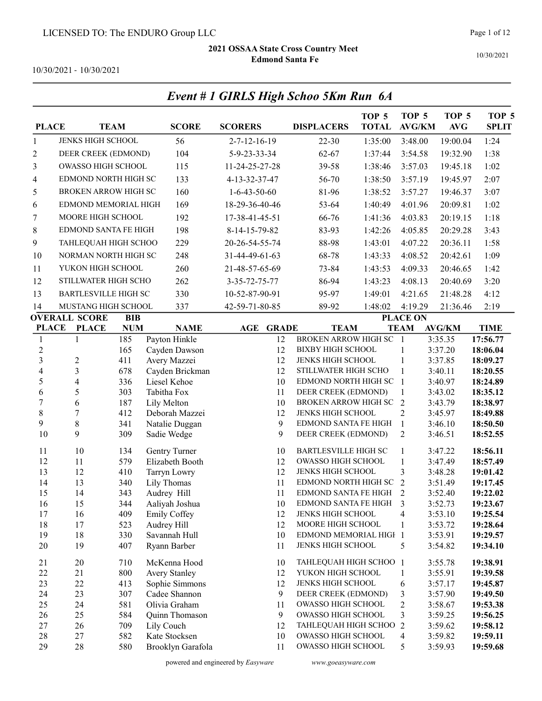Event # 1 GIRLS High Schoo 5Km Run 6A

10/30/2021

10/30/2021 - 10/30/2021

| <b>PLACE</b>                     |                             | <b>TEAM</b> | <b>SCORE</b>                           | <b>SCORERS</b>         | <b>DISPLACERS</b>                             | TOP <sub>5</sub><br><b>TOTAL</b> | TOP <sub>5</sub><br><b>AVG/KM</b> | TOP <sub>5</sub><br><b>AVG</b> | TOP <sub>5</sub><br><b>SPLIT</b> |
|----------------------------------|-----------------------------|-------------|----------------------------------------|------------------------|-----------------------------------------------|----------------------------------|-----------------------------------|--------------------------------|----------------------------------|
| $\mathbf{1}$                     | JENKS HIGH SCHOOL           |             | 56                                     | $2 - 7 - 12 - 16 - 19$ | $22 - 30$                                     | 1:35:00                          | 3:48.00                           | 19:00.04                       | 1:24                             |
| 2                                | DEER CREEK (EDMOND)         |             | 104                                    | 5-9-23-33-34           | 62-67                                         | 1:37:44                          | 3:54.58                           | 19:32.90                       | 1:38                             |
| 3                                | <b>OWASSO HIGH SCHOOL</b>   |             | 115                                    | 11-24-25-27-28         | 39-58                                         | 1:38:46                          | 3:57.03                           | 19:45.18                       | 1:02                             |
| 4                                | EDMOND NORTH HIGH SC        |             | 133                                    | 4-13-32-37-47          | 56-70                                         | 1:38:50                          | 3:57.19                           | 19:45.97                       | 2:07                             |
| 5                                | BROKEN ARROW HIGH SC        |             | 160                                    | $1-6-43-50-60$         | 81-96                                         | 1:38:52                          | 3:57.27                           | 19:46.37                       | 3:07                             |
| 6                                | EDMOND MEMORIAL HIGH        |             | 169                                    | 18-29-36-40-46         | 53-64                                         | 1:40:49                          | 4:01.96                           | 20:09.81                       | 1:02                             |
| 7                                | MOORE HIGH SCHOOL           |             | 192                                    | 17-38-41-45-51         | 66-76                                         | 1:41:36                          | 4:03.83                           | 20:19.15                       | 1:18                             |
| 8                                | <b>EDMOND SANTA FE HIGH</b> |             | 198                                    | 8-14-15-79-82          | 83-93                                         | 1:42:26                          | 4:05.85                           | 20:29.28                       | 3:43                             |
|                                  |                             |             |                                        |                        |                                               |                                  |                                   |                                |                                  |
| 9                                | TAHLEQUAH HIGH SCHOO        |             | 229                                    | 20-26-54-55-74         | 88-98                                         | 1:43:01                          | 4:07.22                           | 20:36.11                       | 1:58                             |
| 10                               | NORMAN NORTH HIGH SC        |             | 248                                    | 31-44-49-61-63         | 68-78                                         | 1:43:33                          | 4:08.52                           | 20:42.61                       | 1:09                             |
| 11                               | YUKON HIGH SCHOOL           |             | 260                                    | 21-48-57-65-69         | 73-84                                         | 1:43:53                          | 4:09.33                           | 20:46.65                       | 1:42                             |
| 12                               | STILLWATER HIGH SCHO        |             | 262                                    | 3-35-72-75-77          | 86-94                                         | 1:43:23                          | 4:08.13                           | 20:40.69                       | 3:20                             |
| 13                               | <b>BARTLESVILLE HIGH SC</b> |             | 330                                    | 10-52-87-90-91         | 95-97                                         | 1:49:01                          | 4:21.65                           | 21:48.28                       | 4:12                             |
| 14                               | MUSTANG HIGH SCHOOL         |             | 337                                    | 42-59-71-80-85         | 89-92                                         | 1:48:02                          | 4:19.29                           | 21:36.46                       | 2:19                             |
|                                  | <b>OVERALL SCORE</b>        | BIB         |                                        |                        |                                               |                                  | <b>PLACE ON</b>                   |                                |                                  |
| <b>PLACE</b>                     | <b>PLACE</b>                | <b>NUM</b>  | <b>NAME</b>                            | <b>AGE GRADE</b>       | <b>TEAM</b>                                   |                                  | <b>TEAM</b>                       | <b>AVG/KM</b>                  | <b>TIME</b>                      |
| $\mathbf{1}$                     | $\mathbf{1}$                | 185         | Payton Hinkle                          | 12                     | <b>BROKEN ARROW HIGH SC</b>                   |                                  | $\overline{1}$                    | 3:35.35                        | 17:56.77                         |
| $\overline{c}$<br>$\overline{3}$ | $\overline{c}$              | 165<br>411  | Cayden Dawson<br>Avery Mazzei          | 12<br>12               | <b>BIXBY HIGH SCHOOL</b><br>JENKS HIGH SCHOOL |                                  | 1<br>1                            | 3:37.20<br>3:37.85             | 18:06.04<br>18:09.27             |
| $\overline{\mathbf{4}}$          | $\mathfrak{Z}$              | 678         | Cayden Brickman                        | 12                     | STILLWATER HIGH SCHO                          |                                  | 1                                 | 3:40.11                        | 18:20.55                         |
| 5                                | $\overline{\mathbf{4}}$     | 336         | Liesel Kehoe                           | 10                     | EDMOND NORTH HIGH SC 1                        |                                  |                                   | 3:40.97                        | 18:24.89                         |
| 6                                | 5                           | 303         | Tabitha Fox                            | 11                     | DEER CREEK (EDMOND)                           |                                  | $\mathbf{1}$                      | 3:43.02                        | 18:35.12                         |
| $\boldsymbol{7}$                 | 6                           | 187         | Lily Melton                            | 10                     | <b>BROKEN ARROW HIGH SC</b>                   |                                  | $\overline{2}$                    | 3:43.79                        | 18:38.97                         |
| $8\,$                            | $\boldsymbol{7}$            | 412         | Deborah Mazzei                         | 12                     | JENKS HIGH SCHOOL                             |                                  | 2                                 | 3:45.97                        | 18:49.88                         |
| 9                                | 8                           | 341         | Natalie Duggan                         | 9                      | EDMOND SANTA FE HIGH                          |                                  | 1                                 | 3:46.10                        | 18:50.50                         |
| 10                               | 9                           | 309         | Sadie Wedge                            | 9                      | DEER CREEK (EDMOND)                           |                                  | 2                                 | 3:46.51                        | 18:52.55                         |
| 11                               | 10                          | 134         | Gentry Turner                          | 10                     | <b>BARTLESVILLE HIGH SC</b>                   |                                  | $\mathbf{1}$                      | 3:47.22                        | 18:56.11                         |
| 12                               | 11                          | 579         | Elizabeth Booth                        | 12                     | OWASSO HIGH SCHOOL                            |                                  | $\mathbf{1}$                      | 3:47.49                        | 18:57.49                         |
| 13                               | 12                          | 410         | <b>Tarryn Lowry</b>                    | 12                     | JENKS HIGH SCHOOL                             |                                  | 3                                 | 3:48.28                        | 19:01.42                         |
| 14                               | 13                          | 340         | Lily Thomas                            | 11                     | EDMOND NORTH HIGH SC                          |                                  | 2                                 | 3:51.49                        | 19:17.45                         |
| 15                               | 14                          | 343         | Audrey Hill                            | 11                     | EDMOND SANTA FE HIGH                          |                                  | 2                                 | 3:52.40                        | 19:22.02                         |
| 16                               | 15                          | 344         | Aaliyah Joshua                         | 10                     | EDMOND SANTA FE HIGH                          |                                  |                                   | 3:52.73                        | 19:23.67                         |
| 17<br>18                         | 16<br>17                    | 409         | Emily Coffey<br>Audrey Hill            | 12                     | JENKS HIGH SCHOOL<br>MOORE HIGH SCHOOL        |                                  | 4                                 | 3:53.10                        | 19:25.54                         |
| 19                               | 18                          | 523<br>330  | Savannah Hull                          | 12<br>10               | EDMOND MEMORIAL HIGH 1                        |                                  | 1                                 | 3:53.72<br>3:53.91             | 19:28.64<br>19:29.57             |
| 20                               | 19                          | 407         | Ryann Barber                           | 11                     | JENKS HIGH SCHOOL                             |                                  | 5                                 | 3:54.82                        | 19:34.10                         |
|                                  |                             |             |                                        |                        |                                               |                                  |                                   |                                |                                  |
| 21                               | 20                          | 710         | McKenna Hood                           | 10                     | TAHLEQUAH HIGH SCHOO 1                        |                                  |                                   | 3:55.78                        | 19:38.91                         |
| 22<br>23                         | 21<br>22                    | 800<br>413  | <b>Avery Stanley</b><br>Sophie Simmons | 12<br>12               | YUKON HIGH SCHOOL<br>JENKS HIGH SCHOOL        |                                  | 1<br>6                            | 3:55.91<br>3:57.17             | 19:39.58<br>19:45.87             |
| 24                               | 23                          | 307         | Cadee Shannon                          | 9                      | DEER CREEK (EDMOND)                           |                                  | 3                                 | 3:57.90                        | 19:49.50                         |
| 25                               | 24                          | 581         | Olivia Graham                          | 11                     | <b>OWASSO HIGH SCHOOL</b>                     |                                  | 2                                 | 3:58.67                        | 19:53.38                         |
| 26                               | 25                          | 584         | Quinn Thomason                         | 9                      | OWASSO HIGH SCHOOL                            |                                  | 3                                 | 3:59.25                        | 19:56.25                         |
| 27                               | 26                          | 709         | Lily Couch                             | 12                     | TAHLEQUAH HIGH SCHOO                          |                                  | 2                                 | 3:59.62                        | 19:58.12                         |
| 28                               | 27                          | 582         | Kate Stocksen                          | 10                     | OWASSO HIGH SCHOOL                            |                                  | 4                                 | 3:59.82                        | 19:59.11                         |
| 29                               | 28                          | 580         | Brooklyn Garafola                      | 11                     | OWASSO HIGH SCHOOL                            |                                  | 5                                 | 3:59.93                        | 19:59.68                         |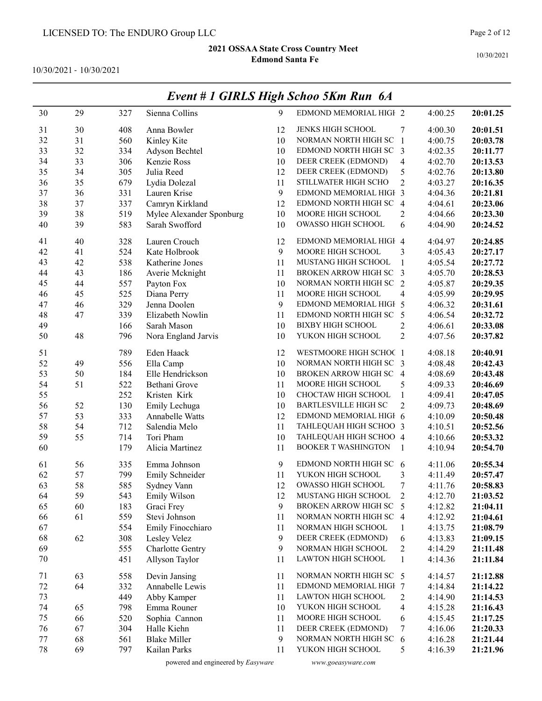10/30/2021 - 10/30/2021

|    |    |     |                          |    | Event # 1 GIRLS High Schoo 5Km Run 6A |                |         |          |
|----|----|-----|--------------------------|----|---------------------------------------|----------------|---------|----------|
| 30 | 29 | 327 | Sienna Collins           | 9  | EDMOND MEMORIAL HIGH 2                |                | 4:00.25 | 20:01.25 |
| 31 | 30 | 408 | Anna Bowler              | 12 | JENKS HIGH SCHOOL                     | 7              | 4:00.30 | 20:01.51 |
| 32 | 31 | 560 | Kinley Kite              | 10 | NORMAN NORTH HIGH SC 1                |                | 4:00.75 | 20:03.78 |
| 33 | 32 | 334 | Adyson Bechtel           | 10 | EDMOND NORTH HIGH SC 3                |                | 4:02.35 | 20:11.77 |
| 34 | 33 | 306 | Kenzie Ross              | 10 | DEER CREEK (EDMOND)                   | $\overline{4}$ | 4:02.70 | 20:13.53 |
| 35 | 34 | 305 | Julia Reed               | 12 | DEER CREEK (EDMOND)                   | 5              | 4:02.76 | 20:13.80 |
| 36 | 35 | 679 | Lydia Dolezal            | 11 | STILLWATER HIGH SCHO                  | $\overline{2}$ | 4:03.27 | 20:16.35 |
| 37 | 36 | 331 | Lauren Krise             | 9  | EDMOND MEMORIAL HIGH 3                |                | 4:04.36 | 20:21.81 |
| 38 | 37 | 337 | Camryn Kirkland          | 12 | EDMOND NORTH HIGH SC 4                |                | 4:04.61 | 20:23.06 |
| 39 | 38 | 519 | Mylee Alexander Sponburg | 10 | MOORE HIGH SCHOOL                     | 2              | 4:04.66 | 20:23.30 |
| 40 | 39 | 583 | Sarah Swofford           | 10 | OWASSO HIGH SCHOOL                    | 6              | 4:04.90 | 20:24.52 |
| 41 | 40 | 328 | Lauren Crouch            | 12 | EDMOND MEMORIAL HIGH 4                |                | 4:04.97 | 20:24.85 |
| 42 | 41 | 524 | Kate Holbrook            | 9  | MOORE HIGH SCHOOL                     | 3              | 4:05.43 | 20:27.17 |
| 43 | 42 | 538 | Katherine Jones          | 11 | MUSTANG HIGH SCHOOL                   | 1              | 4:05.54 | 20:27.72 |
| 44 | 43 | 186 | Averie Mcknight          | 11 | BROKEN ARROW HIGH SC 3                |                | 4:05.70 | 20:28.53 |
| 45 | 44 | 557 | Payton Fox               | 10 | NORMAN NORTH HIGH SC 2                |                | 4:05.87 | 20:29.35 |
| 46 | 45 | 525 | Diana Perry              | 11 | MOORE HIGH SCHOOL                     | $\overline{4}$ | 4:05.99 | 20:29.95 |
| 47 | 46 | 329 | Jenna Doolen             | 9  | EDMOND MEMORIAL HIGH 5                |                | 4:06.32 | 20:31.61 |
| 48 | 47 | 339 | Elizabeth Nowlin         | 11 | EDMOND NORTH HIGH SC                  | 5              | 4:06.54 | 20:32.72 |
| 49 |    | 166 | Sarah Mason              | 10 | <b>BIXBY HIGH SCHOOL</b>              | 2              | 4:06.61 | 20:33.08 |
| 50 | 48 | 796 | Nora England Jarvis      | 10 | YUKON HIGH SCHOOL                     | $\overline{2}$ | 4:07.56 | 20:37.82 |
| 51 |    | 789 | Eden Haack               | 12 | WESTMOORE HIGH SCHOC 1                |                | 4:08.18 | 20:40.91 |
| 52 | 49 | 556 | Ella Camp                | 10 | NORMAN NORTH HIGH SC 3                |                | 4:08.48 | 20:42.43 |
| 53 | 50 | 184 | Elle Hendrickson         | 10 | BROKEN ARROW HIGH SC 4                |                | 4:08.69 | 20:43.48 |
| 54 | 51 | 522 | Bethani Grove            | 11 | MOORE HIGH SCHOOL                     | 5              | 4:09.33 | 20:46.69 |
| 55 |    | 252 | Kristen Kirk             | 10 | CHOCTAW HIGH SCHOOL                   | $\mathbf{1}$   | 4:09.41 | 20:47.05 |
| 56 | 52 | 130 | Emily Lechuga            | 10 | <b>BARTLESVILLE HIGH SC</b>           | $\overline{2}$ | 4:09.73 | 20:48.69 |
| 57 | 53 | 333 | Annabelle Watts          | 12 | EDMOND MEMORIAL HIGH 6                |                | 4:10.09 | 20:50.48 |
| 58 | 54 | 712 | Salendia Melo            | 11 | TAHLEQUAH HIGH SCHOO 3                |                | 4:10.51 | 20:52.56 |
| 59 | 55 | 714 | Tori Pham                | 10 | TAHLEQUAH HIGH SCHOO 4                |                | 4:10.66 | 20:53.32 |
| 60 |    | 179 | Alicia Martinez          | 11 | <b>BOOKER T WASHINGTON</b>            | $\mathbf{1}$   | 4:10.94 | 20:54.70 |
| 61 | 56 | 335 | Emma Johnson             | 9  | EDMOND NORTH HIGH SC 6                |                | 4:11.06 | 20:55.34 |
| 62 | 57 | 799 | Emily Schneider          | 11 | YUKON HIGH SCHOOL                     | 3              | 4:11.49 | 20:57.47 |
| 63 | 58 | 585 | Sydney Vann              | 12 | OWASSO HIGH SCHOOL                    | 7              | 4:11.76 | 20:58.83 |
| 64 | 59 | 543 | Emily Wilson             | 12 | MUSTANG HIGH SCHOOL                   | $\overline{2}$ | 4:12.70 | 21:03.52 |
| 65 | 60 | 183 | Graci Frey               | 9  | BROKEN ARROW HIGH SC                  | 5              | 4:12.82 | 21:04.11 |
| 66 | 61 | 559 | Stevi Johnson            | 11 | NORMAN NORTH HIGH SC 4                |                | 4:12.92 | 21:04.61 |
| 67 |    | 554 | Emily Finocchiaro        | 11 | NORMAN HIGH SCHOOL                    | 1              | 4:13.75 | 21:08.79 |
| 68 | 62 | 308 | Lesley Velez             | 9  | DEER CREEK (EDMOND)                   | 6              | 4:13.83 | 21:09.15 |
| 69 |    | 555 | Charlotte Gentry         | 9  | NORMAN HIGH SCHOOL                    | $\overline{c}$ | 4:14.29 | 21:11.48 |
| 70 |    | 451 | Allyson Taylor           | 11 | LAWTON HIGH SCHOOL                    | $\mathbf{1}$   | 4:14.36 | 21:11.84 |
| 71 | 63 | 558 | Devin Jansing            | 11 | NORMAN NORTH HIGH SC 5                |                | 4:14.57 | 21:12.88 |
| 72 | 64 | 332 | Annabelle Lewis          | 11 | EDMOND MEMORIAL HIGH 7                |                | 4:14.84 | 21:14.22 |
| 73 |    | 449 | Abby Kamper              | 11 | <b>LAWTON HIGH SCHOOL</b>             | 2              | 4:14.90 | 21:14.53 |
| 74 | 65 | 798 | Emma Rouner              | 10 | YUKON HIGH SCHOOL                     | 4              | 4:15.28 | 21:16.43 |
| 75 | 66 | 520 | Sophia Cannon            | 11 | MOORE HIGH SCHOOL                     | 6              | 4:15.45 | 21:17.25 |
| 76 | 67 | 304 | Halle Kiehn              | 11 | DEER CREEK (EDMOND)                   | 7              | 4:16.06 | 21:20.33 |
| 77 | 68 | 561 | <b>Blake Miller</b>      | 9  | NORMAN NORTH HIGH SC                  | 6              | 4:16.28 | 21:21.44 |
| 78 | 69 | 797 | Kailan Parks             | 11 | YUKON HIGH SCHOOL                     | 5              | 4:16.39 | 21:21.96 |

10/30/2021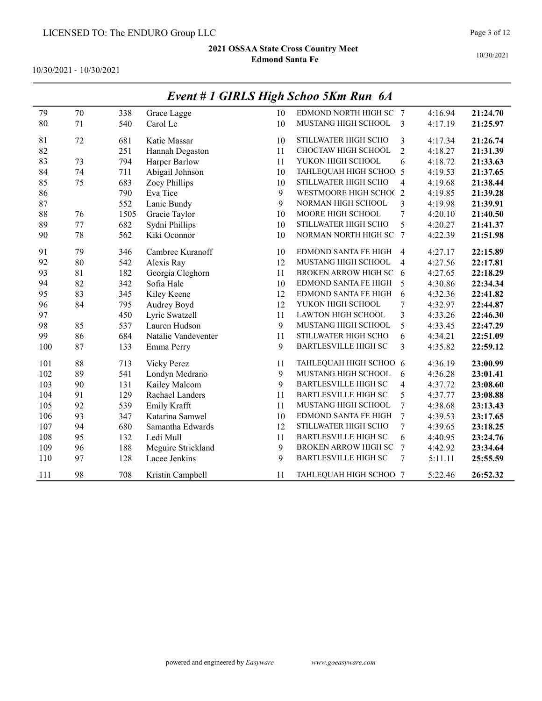10/30/2021 - 10/30/2021

|     |        |      |                     |    | $P$ and $P$ and $P$ and $P$ and $P$ and $P$ |                         |         |          |
|-----|--------|------|---------------------|----|---------------------------------------------|-------------------------|---------|----------|
| 79  | 70     | 338  | Grace Lagge         | 10 | EDMOND NORTH HIGH SC 7                      |                         | 4:16.94 | 21:24.70 |
| 80  | 71     | 540  | Carol Le            | 10 | MUSTANG HIGH SCHOOL                         | 3                       | 4:17.19 | 21:25.97 |
| 81  | $72\,$ | 681  | Katie Massar        | 10 | STILLWATER HIGH SCHO                        | 3                       | 4:17.34 | 21:26.74 |
| 82  |        | 251  | Hannah Degaston     | 11 | CHOCTAW HIGH SCHOOL                         | $\overline{2}$          | 4:18.27 | 21:31.39 |
| 83  | 73     | 794  | Harper Barlow       | 11 | YUKON HIGH SCHOOL                           | 6                       | 4:18.72 | 21:33.63 |
| 84  | 74     | 711  | Abigail Johnson     | 10 | TAHLEQUAH HIGH SCHOO 5                      |                         | 4:19.53 | 21:37.65 |
| 85  | 75     | 683  | Zoey Phillips       | 10 | STILLWATER HIGH SCHO                        | $\overline{4}$          | 4:19.68 | 21:38.44 |
| 86  |        | 790  | Eva Tice            | 9  | WESTMOORE HIGH SCHOC 2                      |                         | 4:19.85 | 21:39.28 |
| 87  |        | 552  | Lanie Bundy         | 9  | NORMAN HIGH SCHOOL                          | $\overline{\mathbf{3}}$ | 4:19.98 | 21:39.91 |
| 88  | 76     | 1505 | Gracie Taylor       | 10 | MOORE HIGH SCHOOL                           | $\tau$                  | 4:20.10 | 21:40.50 |
| 89  | 77     | 682  | Sydni Phillips      | 10 | STILLWATER HIGH SCHO                        | 5                       | 4:20.27 | 21:41.37 |
| 90  | 78     | 562  | Kiki Oconnor        | 10 | NORMAN NORTH HIGH SC 7                      |                         | 4:22.39 | 21:51.98 |
| 91  | 79     | 346  | Cambree Kuranoff    | 10 | <b>EDMOND SANTA FE HIGH</b>                 | $\overline{4}$          | 4:27.17 | 22:15.89 |
| 92  | 80     | 542  | Alexis Ray          | 12 | MUSTANG HIGH SCHOOL                         | $\overline{4}$          | 4:27.56 | 22:17.81 |
| 93  | 81     | 182  | Georgia Cleghorn    | 11 | <b>BROKEN ARROW HIGH SC</b>                 | - 6                     | 4:27.65 | 22:18.29 |
| 94  | 82     | 342  | Sofia Hale          | 10 | EDMOND SANTA FE HIGH                        | 5                       | 4:30.86 | 22:34.34 |
| 95  | 83     | 345  | Kiley Keene         | 12 | EDMOND SANTA FE HIGH                        | 6                       | 4:32.36 | 22:41.82 |
| 96  | 84     | 795  | Audrey Boyd         | 12 | YUKON HIGH SCHOOL                           | $\overline{7}$          | 4:32.97 | 22:44.87 |
| 97  |        | 450  | Lyric Swatzell      | 11 | LAWTON HIGH SCHOOL                          | 3                       | 4:33.26 | 22:46.30 |
| 98  | 85     | 537  | Lauren Hudson       | 9  | MUSTANG HIGH SCHOOL                         | 5                       | 4:33.45 | 22:47.29 |
| 99  | 86     | 684  | Natalie Vandeventer | 11 | STILLWATER HIGH SCHO                        | 6                       | 4:34.21 | 22:51.09 |
| 100 | 87     | 133  | Emma Perry          | 9  | <b>BARTLESVILLE HIGH SC</b>                 | 3                       | 4:35.82 | 22:59.12 |
| 101 | 88     | 713  | Vicky Perez         | 11 | TAHLEQUAH HIGH SCHOO 6                      |                         | 4:36.19 | 23:00.99 |
| 102 | 89     | 541  | Londyn Medrano      | 9  | MUSTANG HIGH SCHOOL                         | 6                       | 4:36.28 | 23:01.41 |
| 103 | 90     | 131  | Kailey Malcom       | 9  | <b>BARTLESVILLE HIGH SC</b>                 | $\overline{4}$          | 4:37.72 | 23:08.60 |
| 104 | 91     | 129  | Rachael Landers     | 11 | <b>BARTLESVILLE HIGH SC</b>                 | 5                       | 4:37.77 | 23:08.88 |
| 105 | 92     | 539  | Emily Krafft        | 11 | MUSTANG HIGH SCHOOL                         | 7                       | 4:38.68 | 23:13.43 |
| 106 | 93     | 347  | Katarina Samwel     | 10 | <b>EDMOND SANTA FE HIGH</b>                 | $\overline{7}$          | 4:39.53 | 23:17.65 |
| 107 | 94     | 680  | Samantha Edwards    | 12 | STILLWATER HIGH SCHO                        | 7                       | 4:39.65 | 23:18.25 |
| 108 | 95     | 132  | Ledi Mull           | 11 | <b>BARTLESVILLE HIGH SC</b>                 | 6                       | 4:40.95 | 23:24.76 |
| 109 | 96     | 188  | Meguire Strickland  | 9  | BROKEN ARROW HIGH SC                        | 7                       | 4:42.92 | 23:34.64 |
| 110 | 97     | 128  | Lacee Jenkins       | 9  | BARTLESVILLE HIGH SC                        | 7                       | 5:11.11 | 25:55.59 |
| 111 | 98     | 708  | Kristin Campbell    | 11 | TAHLEQUAH HIGH SCHOO 7                      |                         | 5:22.46 | 26:52.32 |

### Event # 1 GIRLS High Schoo 5Km Run 6A

10/30/2021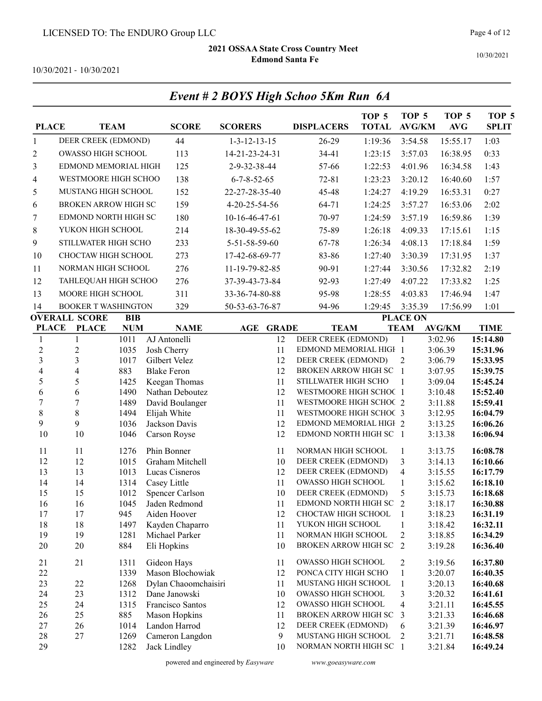10/30/2021

10/30/2021 - 10/30/2021

| <b>PLACE</b>            |                           | <b>TEAM</b>                | <b>SCORE</b>                             | <b>SCORERS</b>         | <b>DISPLACERS</b>                                | TOP <sub>5</sub><br><b>TOTAL</b> | TOP <sub>5</sub><br><b>AVG/KM</b> | TOP <sub>5</sub><br>$\mathbf{AVG}$ | TOP <sub>5</sub><br><b>SPLIT</b> |
|-------------------------|---------------------------|----------------------------|------------------------------------------|------------------------|--------------------------------------------------|----------------------------------|-----------------------------------|------------------------------------|----------------------------------|
| $\mathbf{1}$            |                           | DEER CREEK (EDMOND)        | 44                                       | $1 - 3 - 12 - 13 - 15$ | 26-29                                            | 1:19:36                          | 3:54.58                           | 15:55.17                           | 1:03                             |
| 2                       | <b>OWASSO HIGH SCHOOL</b> |                            | 113                                      | 14-21-23-24-31         | 34-41                                            | 1:23:15                          | 3:57.03                           | 16:38.95                           | 0:33                             |
| 3                       |                           | EDMOND MEMORIAL HIGH       | 125                                      | 2-9-32-38-44           | 57-66                                            | 1:22:53                          | 4:01.96                           | 16:34.58                           | 1:43                             |
| 4                       |                           | WESTMOORE HIGH SCHOO       | 138                                      | $6 - 7 - 8 - 52 - 65$  | $72 - 81$                                        | 1:23:23                          | 3:20.12                           | 16:40.60                           | 1:57                             |
| 5                       |                           | MUSTANG HIGH SCHOOL        | 152                                      | 22-27-28-35-40         | 45-48                                            | 1:24:27                          | 4:19.29                           | 16:53.31                           | 0:27                             |
|                         |                           | BROKEN ARROW HIGH SC       | 159                                      | 4-20-25-54-56          | 64-71                                            | 1:24:25                          |                                   | 16:53.06                           | 2:02                             |
| 6                       |                           |                            |                                          |                        |                                                  |                                  | 3:57.27                           |                                    |                                  |
| 7                       |                           | EDMOND NORTH HIGH SC       | 180                                      | 10-16-46-47-61         | 70-97                                            | 1:24:59                          | 3:57.19                           | 16:59.86                           | 1:39                             |
| 8                       | YUKON HIGH SCHOOL         |                            | 214                                      | 18-30-49-55-62         | 75-89                                            | 1:26:18                          | 4:09.33                           | 17:15.61                           | 1:15                             |
| 9                       |                           | STILLWATER HIGH SCHO       | 233                                      | 5-51-58-59-60          | 67-78                                            | 1:26:34                          | 4:08.13                           | 17:18.84                           | 1:59                             |
| 10                      |                           | CHOCTAW HIGH SCHOOL        | 273                                      | 17-42-68-69-77         | 83-86                                            | 1:27:40                          | 3:30.39                           | 17:31.95                           | 1:37                             |
| 11                      |                           | NORMAN HIGH SCHOOL         | 276                                      | 11-19-79-82-85         | 90-91                                            | 1:27:44                          | 3:30.56                           | 17:32.82                           | 2:19                             |
| 12                      |                           | TAHLEQUAH HIGH SCHOO       | 276                                      | 37-39-43-73-84         | 92-93                                            | 1:27:49                          | 4:07.22                           | 17:33.82                           | 1:25                             |
| 13                      | MOORE HIGH SCHOOL         |                            | 311                                      | 33-36-74-80-88         | 95-98                                            | 1:28:55                          | 4:03.83                           | 17:46.94                           | 1:47                             |
| 14                      |                           | <b>BOOKER T WASHINGTON</b> | 329                                      | 50-53-63-76-87         | 94-96                                            | 1:29:45                          | 3:35.39                           | 17:56.99                           | 1:01                             |
|                         | <b>OVERALL SCORE</b>      | <b>BIB</b>                 |                                          |                        |                                                  |                                  | <b>PLACE ON</b>                   |                                    |                                  |
| <b>PLACE</b>            | <b>PLACE</b>              | <b>NUM</b>                 | <b>NAME</b>                              | AGE<br><b>GRADE</b>    | <b>TEAM</b>                                      |                                  | <b>TEAM</b>                       | <b>AVG/KM</b>                      | <b>TIME</b>                      |
| $\mathbf{1}$            | 1                         | 1011                       | AJ Antonelli                             | 12                     | DEER CREEK (EDMOND)                              |                                  | -1                                | 3:02.96                            | 15:14.80                         |
| $\overline{2}$          | $\overline{2}$            | 1035                       | Josh Cherry                              | 11                     | EDMOND MEMORIAL HIGH 1                           |                                  |                                   | 3:06.39                            | 15:31.96                         |
| $\overline{3}$          | $\mathfrak{Z}$            | 1017                       | Gilbert Velez                            | 12                     | DEER CREEK (EDMOND)                              |                                  | 2                                 | 3:06.79                            | 15:33.95                         |
| $\overline{\mathbf{4}}$ | $\overline{\mathbf{4}}$   | 883                        | <b>Blake Feron</b>                       | 12                     | BROKEN ARROW HIGH SC                             |                                  | $\blacksquare$                    | 3:07.95                            | 15:39.75                         |
| 5                       | 5                         | 1425                       | Keegan Thomas                            | 11                     | STILLWATER HIGH SCHO                             |                                  | 1                                 | 3:09.04                            | 15:45.24                         |
| 6                       | 6                         | 1490                       | Nathan Deboutez                          | 12                     | WESTMOORE HIGH SCHOC 1                           |                                  |                                   | 3:10.48                            | 15:52.40                         |
| $\overline{7}$          | $\boldsymbol{7}$          | 1489                       | David Boulanger                          | 11                     | WESTMOORE HIGH SCHOC 2                           |                                  |                                   | 3:11.88                            | 15:59.41                         |
| $\,$ $\,$<br>9          | $8\,$<br>9                | 1494<br>1036               | Elijah White<br>Jackson Davis            | 11<br>12               | WESTMOORE HIGH SCHOC 3<br>EDMOND MEMORIAL HIGH 2 |                                  |                                   | 3:12.95                            | 16:04.79<br>16:06.26             |
| 10                      | 10                        | 1046                       | Carson Royse                             | 12                     | EDMOND NORTH HIGH SC 1                           |                                  |                                   | 3:13.25<br>3:13.38                 | 16:06.94                         |
|                         |                           |                            |                                          |                        |                                                  |                                  |                                   |                                    |                                  |
| 11                      | 11                        | 1276                       | Phin Bonner                              | 11                     | NORMAN HIGH SCHOOL                               |                                  | 1                                 | 3:13.75                            | 16:08.78                         |
| 12                      | 12                        | 1015                       | Graham Mitchell                          | 10                     | DEER CREEK (EDMOND)                              |                                  | 3                                 | 3:14.13                            | 16:10.66                         |
| 13                      | 13                        | 1013                       | Lucas Cisneros                           | 12                     | DEER CREEK (EDMOND)                              |                                  | $\overline{\mathcal{A}}$          | 3:15.55                            | 16:17.79                         |
| 14                      | 14<br>15                  | 1314                       | Casey Little                             | 11<br>10               | OWASSO HIGH SCHOOL                               |                                  | $\mathbf{1}$                      | 3:15.62                            | 16:18.10                         |
| 15<br>16                | 16                        | 1012<br>1045               | Spencer Carlson<br>Jaden Redmond         | 11                     | DEER CREEK (EDMOND)<br>EDMOND NORTH HIGH SC      |                                  | 5<br>$\overline{2}$               | 3:15.73<br>3:18.17                 | 16:18.68<br>16:30.88             |
| 17                      | 17                        | 945                        | Aiden Hoover                             | 12                     | CHOCTAW HIGH SCHOOL                              |                                  | 1                                 | 3:18.23                            | 16:31.19                         |
| 18                      | 18                        | 1497                       | Kayden Chaparro                          | 11                     | YUKON HIGH SCHOOL                                |                                  | 1                                 | 3:18.42                            | 16:32.11                         |
| 19                      | 19                        | 1281                       | Michael Parker                           | 11                     | NORMAN HIGH SCHOOL                               |                                  | $\overline{c}$                    | 3:18.85                            | 16:34.29                         |
| $20\,$                  | 20                        | 884                        | Eli Hopkins                              | 10                     | BROKEN ARROW HIGH SC                             |                                  | $\overline{2}$                    | 3:19.28                            | 16:36.40                         |
|                         |                           |                            |                                          |                        |                                                  |                                  |                                   |                                    |                                  |
| 21                      | 21                        | 1311                       | Gideon Hays                              | 11                     | OWASSO HIGH SCHOOL<br>PONCA CITY HIGH SCHO       |                                  | $\overline{c}$                    | 3:19.56                            | 16:37.80                         |
| $22\,$<br>23            | 22                        | 1339<br>1268               | Mason Blochowiak<br>Dylan Chaoomchaisiri | 12<br>11               | MUSTANG HIGH SCHOOL                              |                                  | $\mathbf{1}$<br>$\mathbf{1}$      | 3:20.07<br>3:20.13                 | 16:40.35<br>16:40.68             |
| 24                      | 23                        | 1312                       | Dane Janowski                            | 10                     | OWASSO HIGH SCHOOL                               |                                  | 3                                 | 3:20.32                            | 16:41.61                         |
| 25                      | 24                        | 1315                       | Francisco Santos                         | 12                     | OWASSO HIGH SCHOOL                               |                                  | 4                                 | 3:21.11                            | 16:45.55                         |
| 26                      | 25                        | 885                        | Mason Hopkins                            | 11                     | BROKEN ARROW HIGH SC                             |                                  | 3                                 | 3:21.33                            | 16:46.68                         |
| 27                      | 26                        | 1014                       | Landon Harrod                            | 12                     | DEER CREEK (EDMOND)                              |                                  | 6                                 | 3:21.39                            | 16:46.97                         |
| 28                      | $27\,$                    | 1269                       | Cameron Langdon                          | 9                      | MUSTANG HIGH SCHOOL                              |                                  | 2                                 | 3:21.71                            | 16:48.58                         |
| 29                      |                           | 1282                       | Jack Lindley                             | 10                     | NORMAN NORTH HIGH SC 1                           |                                  |                                   | 3:21.84                            | 16:49.24                         |

# Event # 2 BOYS High Schoo 5Km Run 6A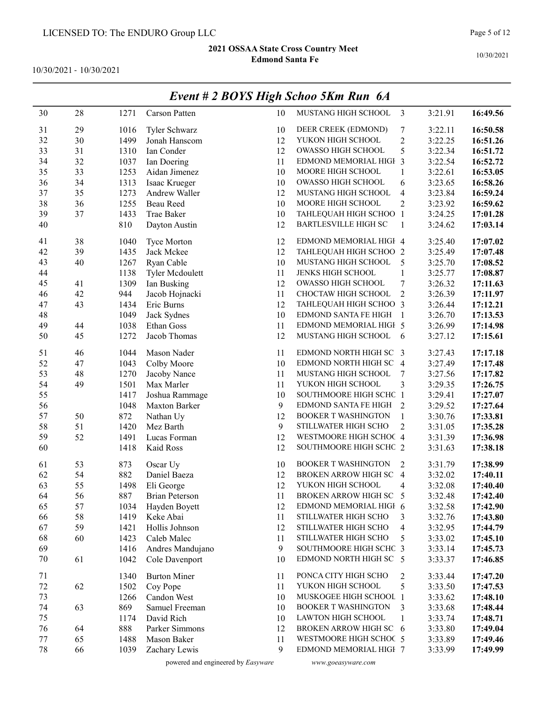10/30/2021 - 10/30/2021

|        |    |      |                       |    | $L$ <i>vent</i> $# 2$ DOTS High Schoo $3$ Km Kun $0A$ |                |         |          |
|--------|----|------|-----------------------|----|-------------------------------------------------------|----------------|---------|----------|
| 30     | 28 | 1271 | Carson Patten         | 10 | MUSTANG HIGH SCHOOL                                   | $\overline{3}$ | 3:21.91 | 16:49.56 |
| 31     | 29 | 1016 | Tyler Schwarz         | 10 | DEER CREEK (EDMOND)                                   | 7              | 3:22.11 | 16:50.58 |
| 32     | 30 | 1499 | Jonah Hanscom         | 12 | YUKON HIGH SCHOOL                                     | $\overline{c}$ | 3:22.25 | 16:51.26 |
| 33     | 31 | 1310 | Ian Conder            | 12 | OWASSO HIGH SCHOOL                                    | 5              | 3:22.34 | 16:51.72 |
| 34     | 32 | 1037 | Ian Doering           | 11 | EDMOND MEMORIAL HIGH 3                                |                | 3:22.54 | 16:52.72 |
| 35     | 33 | 1253 | Aidan Jimenez         | 10 | MOORE HIGH SCHOOL                                     | 1              | 3:22.61 | 16:53.05 |
| 36     | 34 | 1313 | Isaac Krueger         | 10 | OWASSO HIGH SCHOOL                                    | 6              | 3:23.65 | 16:58.26 |
| 37     | 35 | 1273 | Andrew Waller         | 12 | MUSTANG HIGH SCHOOL                                   | 4              | 3:23.84 | 16:59.24 |
| 38     | 36 | 1255 | Beau Reed             | 10 | MOORE HIGH SCHOOL                                     | $\overline{c}$ | 3:23.92 | 16:59.62 |
| 39     | 37 | 1433 | Trae Baker            | 10 | TAHLEQUAH HIGH SCHOO 1                                |                | 3:24.25 | 17:01.28 |
| 40     |    | 810  | Dayton Austin         | 12 | <b>BARTLESVILLE HIGH SC</b>                           | $\mathbf{1}$   | 3:24.62 | 17:03.14 |
| 41     | 38 | 1040 | <b>Tyce Morton</b>    | 12 | EDMOND MEMORIAL HIGH 4                                |                | 3:25.40 | 17:07.02 |
| 42     | 39 | 1435 | Jack Mckee            | 12 | TAHLEQUAH HIGH SCHOO 2                                |                | 3:25.49 | 17:07.48 |
| 43     | 40 | 1267 | Ryan Cable            | 10 | MUSTANG HIGH SCHOOL                                   | 5              | 3:25.70 | 17:08.52 |
| 44     |    | 1138 | Tyler Mcdoulett       | 11 | <b>JENKS HIGH SCHOOL</b>                              | 1              | 3:25.77 | 17:08.87 |
| 45     | 41 | 1309 | Ian Busking           | 12 | OWASSO HIGH SCHOOL                                    | 7              | 3:26.32 | 17:11.63 |
| 46     | 42 | 944  | Jacob Hojnacki        | 11 | CHOCTAW HIGH SCHOOL                                   | $\overline{2}$ | 3:26.39 | 17:11.97 |
| 47     | 43 | 1434 | Eric Burns            | 12 | TAHLEQUAH HIGH SCHOO 3                                |                | 3:26.44 | 17:12.21 |
| 48     |    | 1049 | Jack Sydnes           | 10 | EDMOND SANTA FE HIGH                                  | $\overline{1}$ | 3:26.70 | 17:13.53 |
| 49     | 44 | 1038 | Ethan Goss            | 11 | EDMOND MEMORIAL HIGH 5                                |                | 3:26.99 | 17:14.98 |
| 50     | 45 | 1272 | Jacob Thomas          | 12 | MUSTANG HIGH SCHOOL                                   | 6              | 3:27.12 | 17:15.61 |
| 51     | 46 | 1044 | Mason Nader           | 11 | EDMOND NORTH HIGH SC 3                                |                | 3:27.43 | 17:17.18 |
| 52     | 47 | 1043 | Colby Moore           | 10 | EDMOND NORTH HIGH SC 4                                |                | 3:27.49 | 17:17.48 |
| 53     | 48 | 1270 | Jacoby Nance          | 11 | MUSTANG HIGH SCHOOL                                   | 7              | 3:27.56 | 17:17.82 |
| 54     | 49 | 1501 | Max Marler            | 11 | YUKON HIGH SCHOOL                                     | 3              | 3:29.35 | 17:26.75 |
| 55     |    | 1417 | Joshua Rammage        | 10 | SOUTHMOORE HIGH SCHC 1                                |                | 3:29.41 | 17:27.07 |
| 56     |    | 1048 | Maxton Barker         | 9  | EDMOND SANTA FE HIGH                                  | 2              | 3:29.52 | 17:27.64 |
| 57     | 50 | 872  | Nathan Uy             | 12 | <b>BOOKER T WASHINGTON</b>                            | $\mathbf{1}$   | 3:30.76 | 17:33.81 |
| 58     | 51 | 1420 | Mez Barth             | 9  | STILLWATER HIGH SCHO                                  | $\overline{2}$ | 3:31.05 | 17:35.28 |
| 59     | 52 | 1491 | Lucas Forman          | 12 | WESTMOORE HIGH SCHOC 4                                |                | 3:31.39 | 17:36.98 |
| 60     |    | 1418 | Kaid Ross             | 12 | SOUTHMOORE HIGH SCHC 2                                |                | 3:31.63 | 17:38.18 |
| 61     | 53 | 873  | Oscar Uy              | 10 | <b>BOOKER T WASHINGTON</b>                            | 2              | 3:31.79 | 17:38.99 |
| 62     | 54 | 882  | Daniel Baeza          | 12 | BROKEN ARROW HIGH SC 4                                |                | 3:32.02 | 17:40.11 |
| 63     | 55 | 1498 | Eli George            | 12 | YUKON HIGH SCHOOL                                     | 4              | 3:32.08 | 17:40.40 |
| 64     | 56 | 887  | <b>Brian Peterson</b> | 11 | BROKEN ARROW HIGH SC                                  | $\overline{5}$ | 3:32.48 | 17:42.40 |
| 65     | 57 | 1034 | Hayden Boyett         | 12 | EDMOND MEMORIAL HIGH 6                                |                | 3:32.58 | 17:42.90 |
| 66     | 58 | 1419 | Keke Abai             | 11 | STILLWATER HIGH SCHO                                  | 3              | 3:32.76 | 17:43.80 |
| 67     | 59 | 1421 | Hollis Johnson        | 12 | STILLWATER HIGH SCHO                                  | $\overline{4}$ | 3:32.95 | 17:44.79 |
| 68     | 60 | 1423 | Caleb Malec           | 11 | STILLWATER HIGH SCHO                                  | 5              | 3:33.02 | 17:45.10 |
| 69     |    | 1416 | Andres Mandujano      | 9  | SOUTHMOORE HIGH SCHC 3                                |                | 3:33.14 | 17:45.73 |
| 70     | 61 | 1042 | Cole Davenport        | 10 | EDMOND NORTH HIGH SC 5                                |                | 3:33.37 | 17:46.85 |
| 71     |    | 1340 | <b>Burton Miner</b>   | 11 | PONCA CITY HIGH SCHO                                  | 2              | 3:33.44 | 17:47.20 |
| 72     | 62 | 1502 | Coy Pope              | 11 | YUKON HIGH SCHOOL                                     | 5              | 3:33.50 | 17:47.53 |
| 73     |    | 1266 | Candon West           | 10 | MUSKOGEE HIGH SCHOOL 1                                |                | 3:33.62 | 17:48.10 |
| 74     | 63 | 869  | Samuel Freeman        | 10 | <b>BOOKER T WASHINGTON</b>                            | 3              | 3:33.68 | 17:48.44 |
| 75     |    | 1174 | David Rich            | 10 | LAWTON HIGH SCHOOL                                    | $\mathbf{1}$   | 3:33.74 | 17:48.71 |
| 76     | 64 | 888  | Parker Simmons        | 12 | BROKEN ARROW HIGH SC 6                                |                | 3:33.80 | 17:49.04 |
| 77     | 65 | 1488 | Mason Baker           | 11 | WESTMOORE HIGH SCHOC 5                                |                | 3:33.89 | 17:49.46 |
| $78\,$ | 66 | 1039 | Zachary Lewis         | 9  | EDMOND MEMORIAL HIGH 7                                |                | 3:33.99 | 17:49.99 |

# Event # 2 BOYS High Schoo 5Km Run 6A

powered and engineered by Easyware www.goeasyware.com

10/30/2021